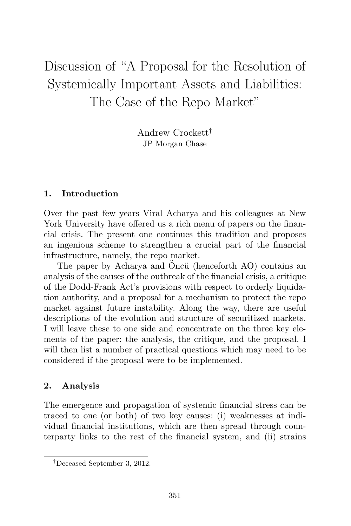# Discussion of "A Proposal for the Resolution of Systemically Important Assets and Liabilities: The Case of the Repo Market"

Andrew Crockett† JP Morgan Chase

## **1. Introduction**

Over the past few years Viral Acharya and his colleagues at New York University have offered us a rich menu of papers on the financial crisis. The present one continues this tradition and proposes an ingenious scheme to strengthen a crucial part of the financial infrastructure, namely, the repo market.

The paper by Acharya and Oncü (henceforth AO) contains an analysis of the causes of the outbreak of the financial crisis, a critique of the Dodd-Frank Act's provisions with respect to orderly liquidation authority, and a proposal for a mechanism to protect the repo market against future instability. Along the way, there are useful descriptions of the evolution and structure of securitized markets. I will leave these to one side and concentrate on the three key elements of the paper: the analysis, the critique, and the proposal. I will then list a number of practical questions which may need to be considered if the proposal were to be implemented.

# **2. Analysis**

The emergence and propagation of systemic financial stress can be traced to one (or both) of two key causes: (i) weaknesses at individual financial institutions, which are then spread through counterparty links to the rest of the financial system, and (ii) strains

<sup>†</sup>Deceased September 3, 2012.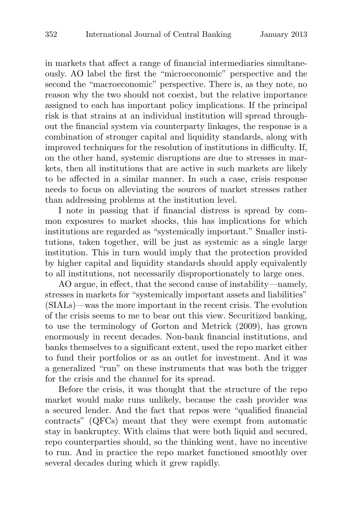in markets that affect a range of financial intermediaries simultaneously. AO label the first the "microeconomic" perspective and the second the "macroeconomic" perspective. There is, as they note, no reason why the two should not coexist, but the relative importance assigned to each has important policy implications. If the principal risk is that strains at an individual institution will spread throughout the financial system via counterparty linkages, the response is a combination of stronger capital and liquidity standards, along with improved techniques for the resolution of institutions in difficulty. If, on the other hand, systemic disruptions are due to stresses in markets, then all institutions that are active in such markets are likely to be affected in a similar manner. In such a case, crisis response needs to focus on alleviating the sources of market stresses rather than addressing problems at the institution level.

I note in passing that if financial distress is spread by common exposures to market shocks, this has implications for which institutions are regarded as "systemically important." Smaller institutions, taken together, will be just as systemic as a single large institution. This in turn would imply that the protection provided by higher capital and liquidity standards should apply equivalently to all institutions, not necessarily disproportionately to large ones.

AO argue, in effect, that the second cause of instability—namely, stresses in markets for "systemically important assets and liabilities" (SIALs)—was the more important in the recent crisis. The evolution of the crisis seems to me to bear out this view. Securitized banking, to use the terminology of Gorton and Metrick (2009), has grown enormously in recent decades. Non-bank financial institutions, and banks themselves to a significant extent, used the repo market either to fund their portfolios or as an outlet for investment. And it was a generalized "run" on these instruments that was both the trigger for the crisis and the channel for its spread.

Before the crisis, it was thought that the structure of the repo market would make runs unlikely, because the cash provider was a secured lender. And the fact that repos were "qualified financial contracts" (QFCs) meant that they were exempt from automatic stay in bankruptcy. With claims that were both liquid and secured, repo counterparties should, so the thinking went, have no incentive to run. And in practice the repo market functioned smoothly over several decades during which it grew rapidly.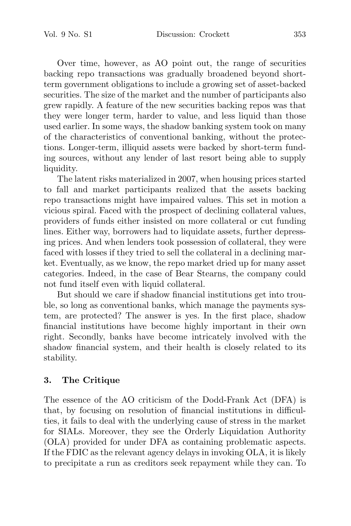Vol. 9 No. S1 Discussion: Crockett 353

Over time, however, as AO point out, the range of securities backing repo transactions was gradually broadened beyond shortterm government obligations to include a growing set of asset-backed securities. The size of the market and the number of participants also grew rapidly. A feature of the new securities backing repos was that they were longer term, harder to value, and less liquid than those used earlier. In some ways, the shadow banking system took on many of the characteristics of conventional banking, without the protections. Longer-term, illiquid assets were backed by short-term funding sources, without any lender of last resort being able to supply liquidity.

The latent risks materialized in 2007, when housing prices started to fall and market participants realized that the assets backing repo transactions might have impaired values. This set in motion a vicious spiral. Faced with the prospect of declining collateral values, providers of funds either insisted on more collateral or cut funding lines. Either way, borrowers had to liquidate assets, further depressing prices. And when lenders took possession of collateral, they were faced with losses if they tried to sell the collateral in a declining market. Eventually, as we know, the repo market dried up for many asset categories. Indeed, in the case of Bear Stearns, the company could not fund itself even with liquid collateral.

But should we care if shadow financial institutions get into trouble, so long as conventional banks, which manage the payments system, are protected? The answer is yes. In the first place, shadow financial institutions have become highly important in their own right. Secondly, banks have become intricately involved with the shadow financial system, and their health is closely related to its stability.

# **3. The Critique**

The essence of the AO criticism of the Dodd-Frank Act (DFA) is that, by focusing on resolution of financial institutions in difficulties, it fails to deal with the underlying cause of stress in the market for SIALs. Moreover, they see the Orderly Liquidation Authority (OLA) provided for under DFA as containing problematic aspects. If the FDIC as the relevant agency delays in invoking OLA, it is likely to precipitate a run as creditors seek repayment while they can. To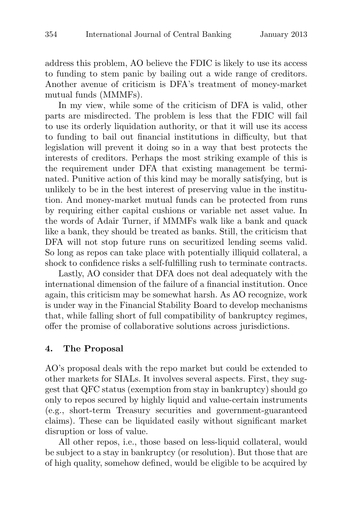address this problem, AO believe the FDIC is likely to use its access to funding to stem panic by bailing out a wide range of creditors. Another avenue of criticism is DFA's treatment of money-market mutual funds (MMMFs).

In my view, while some of the criticism of DFA is valid, other parts are misdirected. The problem is less that the FDIC will fail to use its orderly liquidation authority, or that it will use its access to funding to bail out financial institutions in difficulty, but that legislation will prevent it doing so in a way that best protects the interests of creditors. Perhaps the most striking example of this is the requirement under DFA that existing management be terminated. Punitive action of this kind may be morally satisfying, but is unlikely to be in the best interest of preserving value in the institution. And money-market mutual funds can be protected from runs by requiring either capital cushions or variable net asset value. In the words of Adair Turner, if MMMFs walk like a bank and quack like a bank, they should be treated as banks. Still, the criticism that DFA will not stop future runs on securitized lending seems valid. So long as repos can take place with potentially illiquid collateral, a shock to confidence risks a self-fulfilling rush to terminate contracts.

Lastly, AO consider that DFA does not deal adequately with the international dimension of the failure of a financial institution. Once again, this criticism may be somewhat harsh. As AO recognize, work is under way in the Financial Stability Board to develop mechanisms that, while falling short of full compatibility of bankruptcy regimes, offer the promise of collaborative solutions across jurisdictions.

#### **4. The Proposal**

AO's proposal deals with the repo market but could be extended to other markets for SIALs. It involves several aspects. First, they suggest that QFC status (exemption from stay in bankruptcy) should go only to repos secured by highly liquid and value-certain instruments (e.g., short-term Treasury securities and government-guaranteed claims). These can be liquidated easily without significant market disruption or loss of value.

All other repos, i.e., those based on less-liquid collateral, would be subject to a stay in bankruptcy (or resolution). But those that are of high quality, somehow defined, would be eligible to be acquired by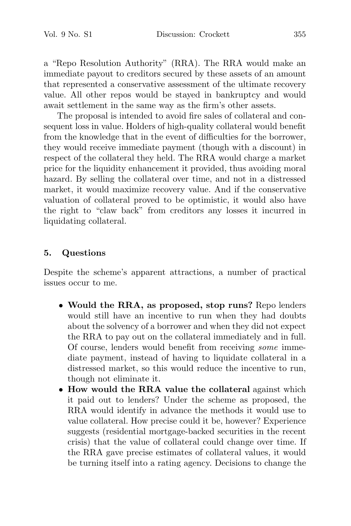a "Repo Resolution Authority" (RRA). The RRA would make an immediate payout to creditors secured by these assets of an amount that represented a conservative assessment of the ultimate recovery value. All other repos would be stayed in bankruptcy and would await settlement in the same way as the firm's other assets.

The proposal is intended to avoid fire sales of collateral and consequent loss in value. Holders of high-quality collateral would benefit from the knowledge that in the event of difficulties for the borrower, they would receive immediate payment (though with a discount) in respect of the collateral they held. The RRA would charge a market price for the liquidity enhancement it provided, thus avoiding moral hazard. By selling the collateral over time, and not in a distressed market, it would maximize recovery value. And if the conservative valuation of collateral proved to be optimistic, it would also have the right to "claw back" from creditors any losses it incurred in liquidating collateral.

### **5. Questions**

Despite the scheme's apparent attractions, a number of practical issues occur to me.

- **Would the RRA, as proposed, stop runs?** Repo lenders would still have an incentive to run when they had doubts about the solvency of a borrower and when they did not expect the RRA to pay out on the collateral immediately and in full. Of course, lenders would benefit from receiving some immediate payment, instead of having to liquidate collateral in a distressed market, so this would reduce the incentive to run, though not eliminate it.
- **How would the RRA value the collateral** against which it paid out to lenders? Under the scheme as proposed, the RRA would identify in advance the methods it would use to value collateral. How precise could it be, however? Experience suggests (residential mortgage-backed securities in the recent crisis) that the value of collateral could change over time. If the RRA gave precise estimates of collateral values, it would be turning itself into a rating agency. Decisions to change the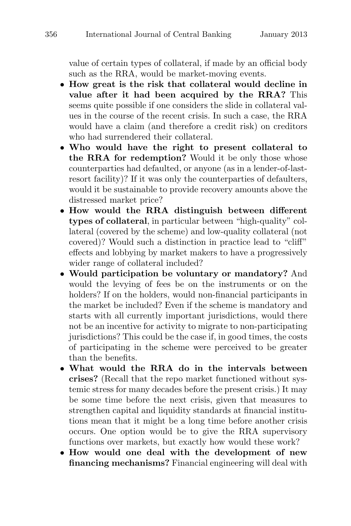value of certain types of collateral, if made by an official body such as the RRA, would be market-moving events.

- **How great is the risk that collateral would decline in value after it had been acquired by the RRA?** This seems quite possible if one considers the slide in collateral values in the course of the recent crisis. In such a case, the RRA would have a claim (and therefore a credit risk) on creditors who had surrendered their collateral.
- **Who would have the right to present collateral to the RRA for redemption?** Would it be only those whose counterparties had defaulted, or anyone (as in a lender-of-lastresort facility)? If it was only the counterparties of defaulters, would it be sustainable to provide recovery amounts above the distressed market price?
- **How would the RRA distinguish between different types of collateral**, in particular between "high-quality" collateral (covered by the scheme) and low-quality collateral (not covered)? Would such a distinction in practice lead to "cliff" effects and lobbying by market makers to have a progressively wider range of collateral included?
- **Would participation be voluntary or mandatory?** And would the levying of fees be on the instruments or on the holders? If on the holders, would non-financial participants in the market be included? Even if the scheme is mandatory and starts with all currently important jurisdictions, would there not be an incentive for activity to migrate to non-participating jurisdictions? This could be the case if, in good times, the costs of participating in the scheme were perceived to be greater than the benefits.
- **What would the RRA do in the intervals between crises?** (Recall that the repo market functioned without systemic stress for many decades before the present crisis.) It may be some time before the next crisis, given that measures to strengthen capital and liquidity standards at financial institutions mean that it might be a long time before another crisis occurs. One option would be to give the RRA supervisory functions over markets, but exactly how would these work?
- **How would one deal with the development of new financing mechanisms?** Financial engineering will deal with